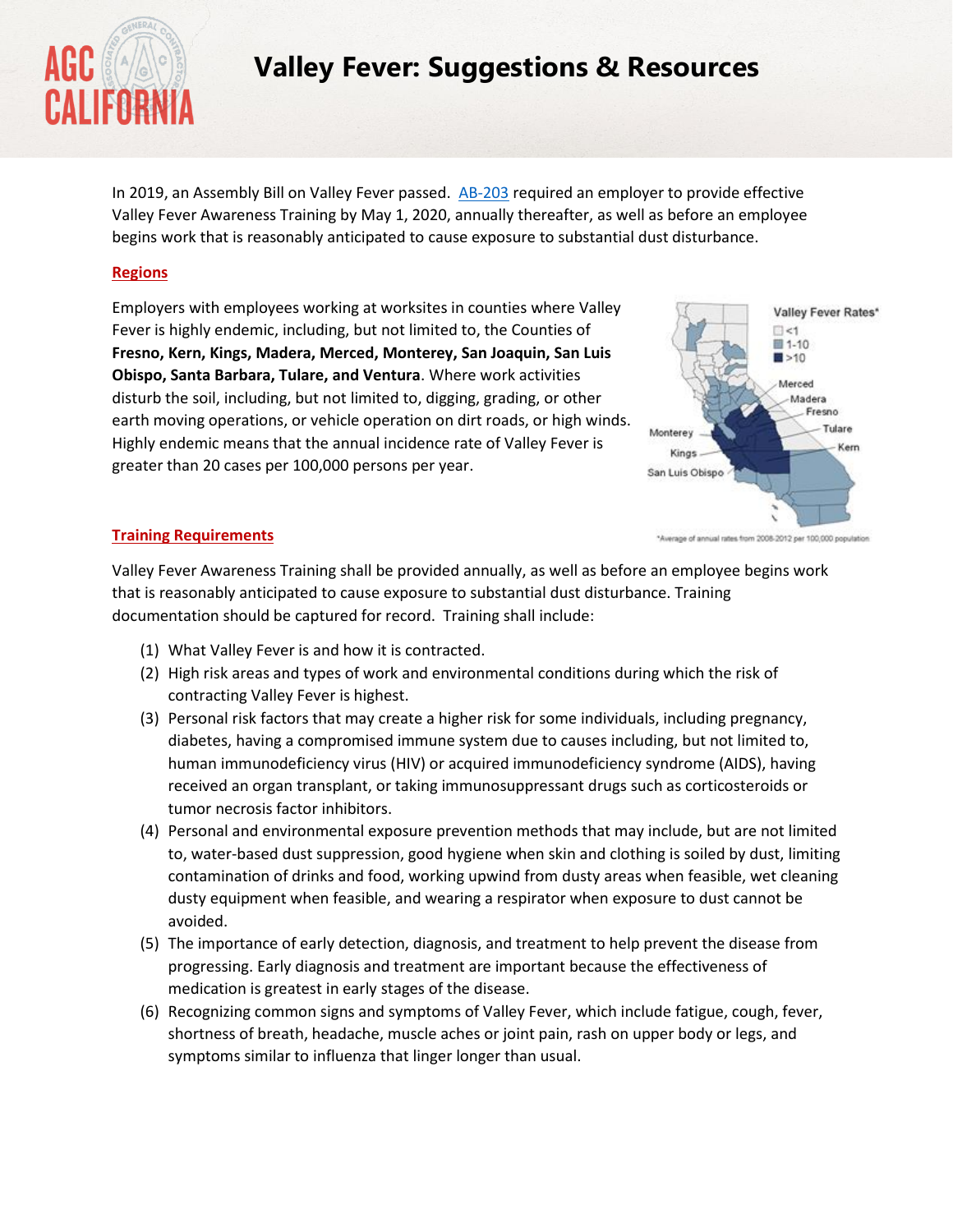

# **Valley Fever: Suggestions & Resources**

In 2019, an Assembly Bill on Valley Fever passed. [AB-203](https://leginfo.legislature.ca.gov/faces/billTextClient.xhtml?bill_id=201920200AB203) required an employer to provide effective Valley Fever Awareness Training by May 1, 2020, annually thereafter, as well as before an employee begins work that is reasonably anticipated to cause exposure to substantial dust disturbance.

## **Regions**

Employers with employees working at worksites in counties where Valley Fever is highly endemic, including, but not limited to, the Counties of **Fresno, Kern, Kings, Madera, Merced, Monterey, San Joaquin, San Luis Obispo, Santa Barbara, Tulare, and Ventura**. Where work activities disturb the soil, including, but not limited to, digging, grading, or other earth moving operations, or vehicle operation on dirt roads, or high winds. Highly endemic means that the annual incidence rate of Valley Fever is greater than 20 cases per 100,000 persons per year.



#### **Training Requirements**

Valley Fever Awareness Training shall be provided annually, as well as before an employee begins work that is reasonably anticipated to cause exposure to substantial dust disturbance. Training documentation should be captured for record. Training shall include:

- (1) What Valley Fever is and how it is contracted.
- (2) High risk areas and types of work and environmental conditions during which the risk of contracting Valley Fever is highest.
- (3) Personal risk factors that may create a higher risk for some individuals, including pregnancy, diabetes, having a compromised immune system due to causes including, but not limited to, human immunodeficiency virus (HIV) or acquired immunodeficiency syndrome (AIDS), having received an organ transplant, or taking immunosuppressant drugs such as corticosteroids or tumor necrosis factor inhibitors.
- (4) Personal and environmental exposure prevention methods that may include, but are not limited to, water-based dust suppression, good hygiene when skin and clothing is soiled by dust, limiting contamination of drinks and food, working upwind from dusty areas when feasible, wet cleaning dusty equipment when feasible, and wearing a respirator when exposure to dust cannot be avoided.
- (5) The importance of early detection, diagnosis, and treatment to help prevent the disease from progressing. Early diagnosis and treatment are important because the effectiveness of medication is greatest in early stages of the disease.
- (6) Recognizing common signs and symptoms of Valley Fever, which include fatigue, cough, fever, shortness of breath, headache, muscle aches or joint pain, rash on upper body or legs, and symptoms similar to influenza that linger longer than usual.